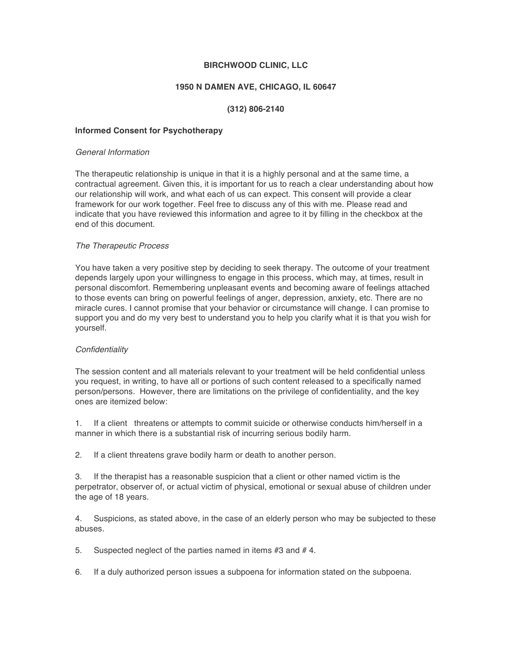## **BIRCHWOOD CLINIC, LLC**

### **1950 N DAMEN AVE, CHICAGO, IL 60647**

# **(312) 806-2140**

#### **Informed Consent for Psychotherapy**

#### *General Information*

The therapeutic relationship is unique in that it is a highly personal and at the same time, a contractual agreement. Given this, it is important for us to reach a clear understanding about how our relationship will work, and what each of us can expect. This consent will provide a clear framework for our work together. Feel free to discuss any of this with me. Please read and indicate that you have reviewed this information and agree to it by filling in the checkbox at the end of this document.

#### *The Therapeutic Process*

You have taken a very positive step by deciding to seek therapy. The outcome of your treatment depends largely upon your willingness to engage in this process, which may, at times, result in personal discomfort. Remembering unpleasant events and becoming aware of feelings attached to those events can bring on powerful feelings of anger, depression, anxiety, etc. There are no miracle cures. I cannot promise that your behavior or circumstance will change. I can promise to support you and do my very best to understand you to help you clarify what it is that you wish for yourself.

#### *Confidentiality*

The session content and all materials relevant to your treatment will be held confidential unless you request, in writing, to have all or portions of such content released to a specifically named person/persons. However, there are limitations on the privilege of confidentiality, and the key ones are itemized below:

1. If a client threatens or attempts to commit suicide or otherwise conducts him/herself in a manner in which there is a substantial risk of incurring serious bodily harm.

2. If a client threatens grave bodily harm or death to another person.

3. If the therapist has a reasonable suspicion that a client or other named victim is the perpetrator, observer of, or actual victim of physical, emotional or sexual abuse of children under the age of 18 years.

4. Suspicions, as stated above, in the case of an elderly person who may be subjected to these abuses.

5. Suspected neglect of the parties named in items #3 and #4.

6. If a duly authorized person issues a subpoena for information stated on the subpoena.